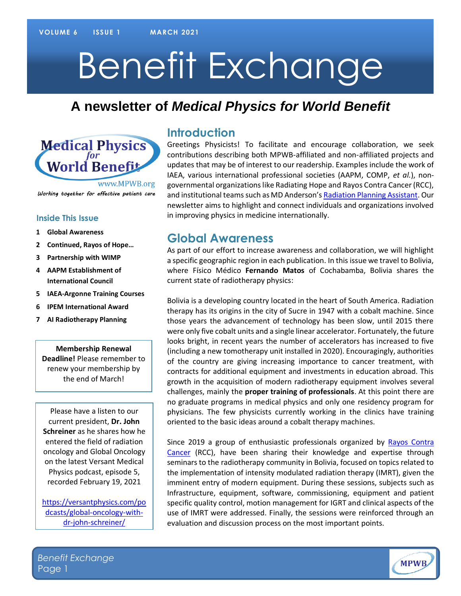# Benefit Exchange

# **A newsletter of** *Medical Physics for World Benefit*



Working together for effective patient care

#### **Inside This Issue**

- **1 Global Awareness**
- **2 Continued, Rayos of Hope…**
- **3 Partnership with WIMP**
- **4 AAPM Establishment of International Council**
- **5 IAEA-Argonne Training Courses**
- **6 IPEM International Award**
- **7 AI Radiotherapy Planning**

**Membership Renewal Deadline!** Please remember to renew your membership by the end of March!

Please have a listen to our current president, **Dr. John Schreiner** as he shares how he entered the field of radiation oncology and Global Oncology on the latest Versant Medical Physics podcast, episode 5, recorded February 19, 2021

[https://versantphysics.com/po](https://versantphysics.com/podcasts/global-oncology-with-dr-john-schreiner/) [dcasts/global-oncology-with](https://versantphysics.com/podcasts/global-oncology-with-dr-john-schreiner/)[dr-john-schreiner/](https://versantphysics.com/podcasts/global-oncology-with-dr-john-schreiner/)

#### *Benefit* **Introduction**

Greetings Physicists! To facilitate and encourage collaboration, we seek contributions describing both MPWB-affiliated and non-affiliated projects and updates that may be of interest to our readership. Examples include the work of IAEA, various international professional societies (AAPM, COMP, *et al.*), nongovernmental organizations like Radiating Hope and Rayos Contra Cancer (RCC), and institutional teams such as MD Anderson's [Radiation Planning Assistant.](https://rpa.mdanderson.org/) Our newsletter aims to highlight and connect individuals and organizations involved in improving physics in medicine internationally.

#### **Global Awareness**

As part of our effort to increase awareness and collaboration, we will highlight a specific geographic region in each publication. In this issue we travel to Bolivia, where Físico Médico **Fernando Matos** of Cochabamba, Bolivia shares the current state of radiotherapy physics:

Bolivia is a developing country located in the heart of South America. Radiation therapy has its origins in the city of Sucre in 1947 with a cobalt machine. Since those years the advancement of technology has been slow, until 2015 there were only five cobalt units and a single linear accelerator. Fortunately, the future looks bright, in recent years the number of accelerators has increased to five (including a new tomotherapy unit installed in 2020). Encouragingly, authorities of the country are giving increasing importance to cancer treatment, with contracts for additional equipment and investments in education abroad. This growth in the acquisition of modern radiotherapy equipment involves several challenges, mainly the **proper training of professionals**. At this point there are no graduate programs in medical physics and only one residency program for physicians. The few physicists currently working in the clinics have training oriented to the basic ideas around a cobalt therapy machines.

Since 2019 a group of enthusiastic professionals organized by Rayos Contra [Cancer](https://www.rayoscontracancer.org/) (RCC), have been sharing their knowledge and expertise through seminars to the radiotherapy community in Bolivia, focused on topics related to the implementation of intensity modulated radiation therapy (IMRT), given the imminent entry of modern equipment. During these sessions, subjects such as Infrastructure, equipment, software, commissioning, equipment and patient specific quality control, motion management for IGRT and clinical aspects of the use of IMRT were addressed. Finally, the sessions were reinforced through an evaluation and discussion process on the most important points.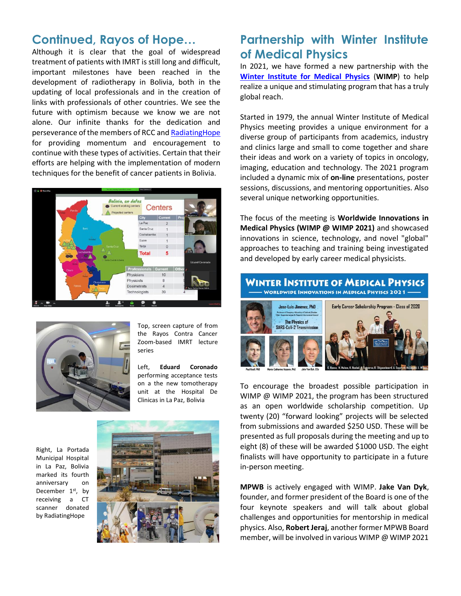#### **Continued, Rayos of Hope…**

Although it is clear that the goal of widespread treatment of patients with IMRT is still long and difficult, important milestones have been reached in the development of radiotherapy in Bolivia, both in the updating of local professionals and in the creation of links with professionals of other countries. We see the future with optimism because we know we are not alone. Our infinite thanks for the dedication and perseverance of the members of RCC an[d RadiatingHope](https://www.radiatinghope.org/) for providing momentum and encouragement to continue with these types of activities. Certain that their efforts are helping with the implementation of modern techniques for the benefit of cancer patients in Bolivia.





Top, screen capture of from the Rayos Contra Cancer Zoom-based IMRT lecture series

Left, **Eduard Coronado** performing acceptance tests on a the new tomotherapy unit at the Hospital De Clinicas in La Paz, Bolivia

Right, La Portada Municipal Hospital in La Paz, Bolivia marked its fourth anniversary on December 1<sup>st</sup>, by receiving a CT scanner donated by RadiatingHope



### **Partnership with Winter Institute of Medical Physics**

In 2021, we have formed a new partnership with the **[Winter Institute for Medical Physics](http://www.gowimp.org/)** (**WIMP**) to help realize a unique and stimulating program that has a truly global reach.

Started in 1979, the annual Winter Institute of Medical Physics meeting provides a unique environment for a diverse group of participants from academics, industry and clinics large and small to come together and share their ideas and work on a variety of topics in oncology, imaging, education and technology. The 2021 program included a dynamic mix of **on-line** presentations, poster sessions, discussions, and mentoring opportunities. Also several unique networking opportunities.

The focus of the meeting is **Worldwide Innovations in Medical Physics (WIMP @ WIMP 2021)** and showcased innovations in science, technology, and novel "global" approaches to teaching and training being investigated and developed by early career medical physicists.



To encourage the broadest possible participation in WIMP @ WIMP 2021, the program has been structured as an open worldwide scholarship competition. Up twenty (20) "forward looking" projects will be selected from submissions and awarded \$250 USD. These will be presented as full proposals during the meeting and up to eight (8) of these will be awarded \$1000 USD. The eight finalists will have opportunity to participate in a future in-person meeting.

**MPWB** is actively engaged with WIMP. **Jake Van Dyk**, founder, and former president of the Board is one of the four keynote speakers and will talk about global challenges and opportunities for mentorship in medical physics. Also, **Robert Jeraj**, another former MPWB Board member, will be involved in various WIMP @ WIMP 2021